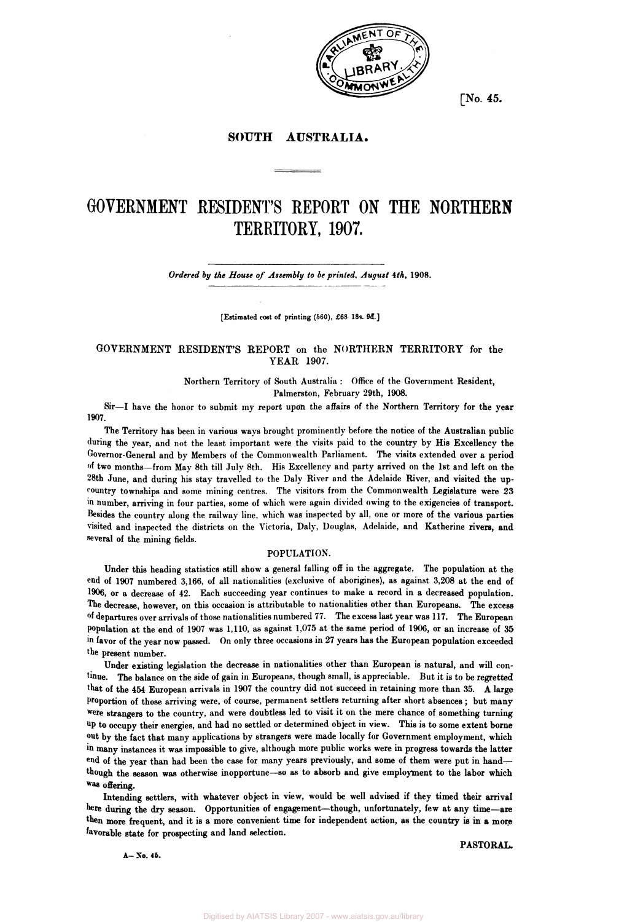

**[No. 45.** 

# **SOUTH AUSTRALIA.**

# **GOVERNMENT RESIDENT'S REPORT ON THE NORTHERN TERRITORY, 1907.**

*Ordered by the House of Assembly to be printed, August* **4th, 1908.** 

**[Estimated cost of printing (660), £68 18s. 9d.]** 

## **GOVERNMENT RESIDENT'S REPORT on the NORTHERN TERRITORY for the YEAR 1907.**

**Northern Territory of South Australia : Office of the Government Resident, Palmerston, February 29th, 1908.** 

**Sir—I have the honor to submit my report upon the affairs of the Northern Territory for the year 1907.** 

**The Territory has been in various ways brought prominently before the notice of the Australian public during the year, and not the least important were the visits paid to the country by His Excellency the Governor-General and by Members of the Commonwealth Parliament. The visits extended over a period of two months—from May 8th till July 8th. His Excellency and party arrived on the 1st and left on the 28th June, and during his stay travelled to the Daly River and the Adelaide River, and visited the upcountry townships and some mining centres. The visitors from the Commonwealth Legislature were 23 in number, arriving in four parties, some of which were again divided owing to the exigencies of transport. Besides the country along the railway line, which was inspected by all, one or more of the various parties visited and inspected the districts on the Victoria, Daly, Douglas, Adelaide, and Katherine rivers, and several of the mining fields.** 

## **POPULATION.**

**Under this heading statistics still show a general falling off in the aggregate. The population at the end of 1907 numbered 3,166, of all nationalities (exclusive of aborigines), as against 3,208 at the end of 1906, or a decrease of 42. Each succeeding year continues to make a record in a decreased population. The decrease, however, on this occasion is attributable to nationalities other than Europeans. The excess of departures over arrivals of those nationalities numbered 77. The excess last year was 117. The European population at the end of 1907 was 1,110, as against 1,075 at the same period of 1906, or an increase of 35 in favor of the year now passed. On only three occasions in 27 years has the European population exceeded the present number.** 

Under existing legislation the decrease in nationalities other than European is natural, and will con**tinue. The balance on the side of gain in Europeans, though small, is appreciable. But it is to be regretted that of the 454 European arrivals in 1907 the country did not succeed in retaining more than 35. A large Proportion of those arriving were, of course, permanent settlers returning after short absences ; but many were strangers to the country, and were doubtless led to visit it on the mere chance of something turning up to occupy their energies, and had no settled or determined object in view. This is to some extent borne out by the fact that many applications by strangers were made locally for Government employment, which in many instances it was impossible to give, although more public works were in progress towards the latter end of the year than had been the case for many years previously, and some of them were put in hand though the season was otherwise inopportune—so as to absorb and give employment to the labor which was offering.** 

**Intending settlers, with whatever object in view, would be well advised if they timed their arrival here during the dry season. Opportunities of engagement—though, unfortunately, few at any time—are**  then more frequent, and it is a more convenient time for independent action, as the country is in a more **favorable state for prospecting and land selection.** 

**A-No. 46.** 

**PASTORAL.**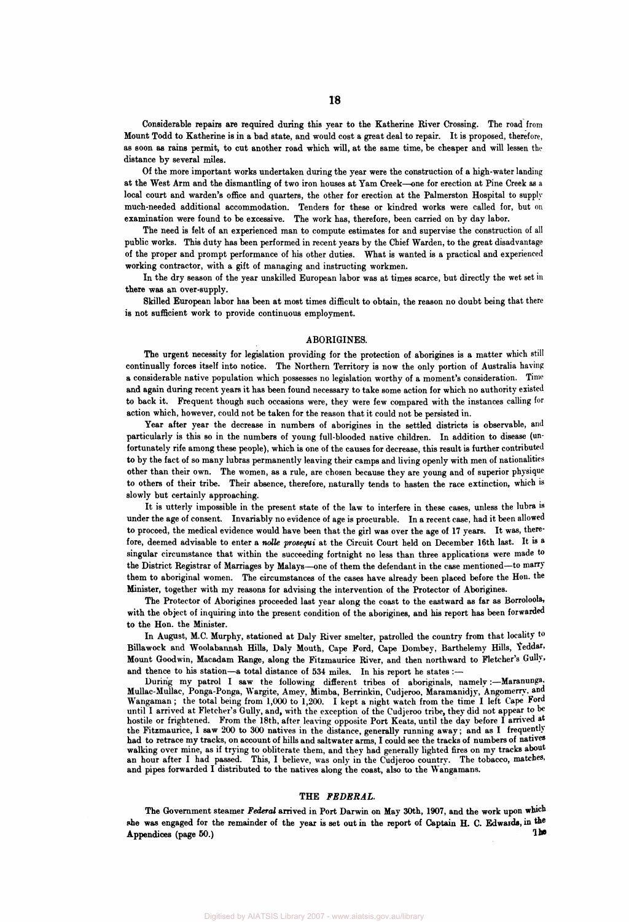**Considerable repairs are required during this year to the Katherine River Crossing. The road from Mount Todd to Katherine is in a bad state, and would cost a great deal to repair. It is proposed, therefore, as soon as rains permit, to cut another road which will, at the same time, be cheaper and will lessen the distance by several miles.** 

**Of the more important works undertaken during the year were the construction of a high-water landing at the West Arm and the dismantling of two iron houses at Yam Creek—one for erection at Pine Creek as a local court and warden's office and quarters, the other for erection at the Palmerston Hospital to supply much-needed additional accommodation. Tenders for these or kindred works were called for, but on examination were found to be excessive. The work has, therefore, been carried on by day labor.** 

**The need is felt of an experienced man to compute estimates for and supervise the construction of all public works. This duty has been performed in recent years by the Chief Warden, to the great disadvantage of the proper and prompt performance of his other duties. What is wanted is a practical and experienced working contractor, with a gift of managing and instructing workmen.** 

**In the dry season of the year unskilled European labor was at times scarce, but directly the wet set in there was an over-supply.** 

**Skilled European labor has been at most times difficult to obtain, the reason no doubt being that there is not sufficient work to provide continuous employment.** 

### **ABORIGINES.**

**The urgent necessity for legislation providing for the protection of aborigines is a matter which still continually forces itself into notice. The Northern Territory is now the only portion of Australia having a considerable native population which possesses no legislation worthy of a moment's consideration. Time and again during recent years it has been found necessary to take some action for which no authority existed to back it. Frequent though such occasions were, they were few compared with the instances calling for action which, however, could not be taken for the reason that it could not be persisted in.** 

**Year after year the decrease in numbers of aborigines in the settled districts is observable, and particularly is this so in the numbers of young full-blooded native children. In addition to disease (unfortunately rife among these people), which is one of the causes for decrease, this result is further contributed to by the fact of so many lubras permanently leaving their camps and living openly with men of nationalities other than their own. The women, as a rule, are chosen because they are young and of superior physique to others of their tribe. Their absence, therefore, naturally tends to hasten the race extinction, which is slowly but certainly approaching.** 

**It is utterly impossible in the present state of the law to interfere in these cases, unless the lubra is under the age of consent. Invariably no evidence of age is procurable. In a recent case, had it been allowed to proceed, the medical evidence would have been that the girl was over the age of 17 years. It was, therefore, deemed advisable to enter a** *nolle prosequi* **at the Circuit Court held on December 16th last. It is a singular circumstance that within the succeeding fortnight no less than three applications were made to the District Registrar of Marriages by Malays—one of them the defendant in the case mentioned—to marry them to aboriginal women. The circumstances of the cases have already been placed before the Hon. the Minister, together with my reasons for advising the intervention of the Protector of Aborigines.** 

**The Protector of Aborigines proceeded last year along the coast to the eastward as far as Borroloola, with the object of inquiring into the present condition of the aborigines, and his report has been forwarded to the Hon. the Minister.** 

**In August, M.C. Murphy, stationed at Daly River smelter, patrolled the country from that locality to Billawock and Woolabannah Hills, Daly Mouth, Cape Ford, Cape Dombey, Barthelemy Hills, Yeddar, Mount Goodwin, Macadam Range, along the Fitzmaurice River, and then northward to Fletcher's Gully,**  and thence to his station-a total distance of 534 miles. In his report he states :-

**During my patrol I saw the following different tribes of aboriginals, namely:—Maranunga, Mullac-Mullac, Ponga-Ponga, Wargite, Amey, Mimba, Berrinkin, Cudjeroo, Maramanidjy, Angomerry, and**  Wangaman; the total being from 1,000 to 1,200. I kept a night watch from the time I left Cape Ford **until I arrived at Fletcher's Gully, and, with the exception of the Cudjeroo tribe, they did not appear to be hostile or frightened. From the 18th, after leaving opposite Port Keats, until the day before I arrived at the Fitzmaurice, I saw 200 to 300 natives in the distance, generally running away; and as I frequently had to retrace my tracks, on account of hills and saltwater arms, I could see the tracks of numbers of natives walking over mine, as if trying to obliterate them, and they had generally lighted fires on my tracks about an hour after I had passed. This, I believe, was only in the Cudjeroo country. The tobacco, matches, and pipes forwarded I distributed to the natives along the coast, also to the Wangamans.** 

## **THE** *FEDERAL.*

**The Government steamer** *Federal* **arrived in Port Darwin on May 30th, 1907, and the work upon which she was engaged for the remainder of the year is set out in the report of Captain H. C. Edwards, in the Appendices (page 50.) The**